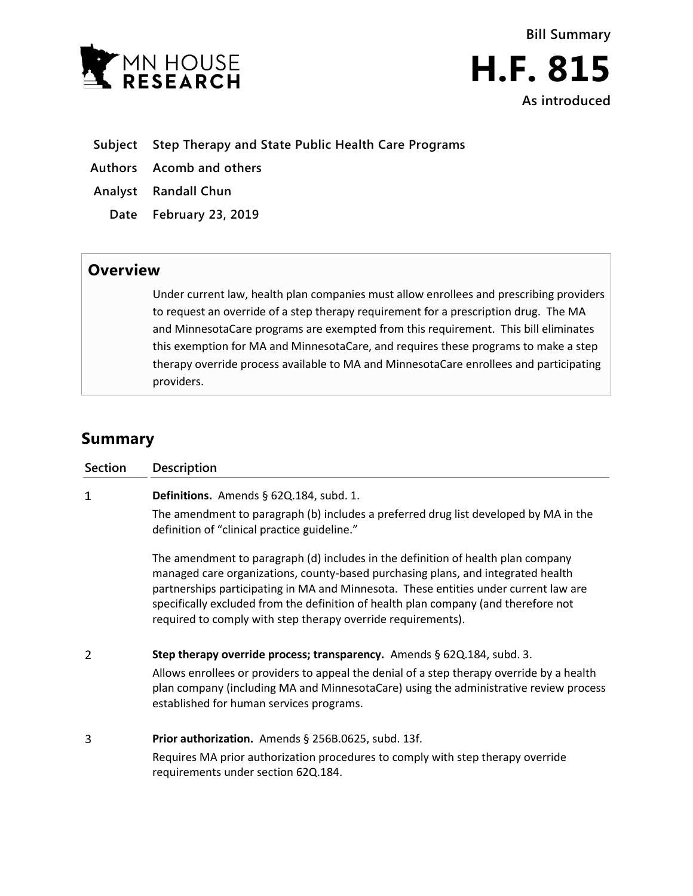



- **Subject Step Therapy and State Public Health Care Programs**
- **Authors Acomb and others**
- **Analyst Randall Chun**
	- **Date February 23, 2019**

## **Overview**

Under current law, health plan companies must allow enrollees and prescribing providers to request an override of a step therapy requirement for a prescription drug. The MA and MinnesotaCare programs are exempted from this requirement. This bill eliminates this exemption for MA and MinnesotaCare, and requires these programs to make a step therapy override process available to MA and MinnesotaCare enrollees and participating providers.

## **Summary**

| <b>Section</b> | <b>Description</b>                                                                                                                                                                                                                                                                                                                                                                                                  |
|----------------|---------------------------------------------------------------------------------------------------------------------------------------------------------------------------------------------------------------------------------------------------------------------------------------------------------------------------------------------------------------------------------------------------------------------|
| 1              | Definitions. Amends § 62Q.184, subd. 1.                                                                                                                                                                                                                                                                                                                                                                             |
|                | The amendment to paragraph (b) includes a preferred drug list developed by MA in the<br>definition of "clinical practice guideline."                                                                                                                                                                                                                                                                                |
|                | The amendment to paragraph (d) includes in the definition of health plan company<br>managed care organizations, county-based purchasing plans, and integrated health<br>partnerships participating in MA and Minnesota. These entities under current law are<br>specifically excluded from the definition of health plan company (and therefore not<br>required to comply with step therapy override requirements). |
| 2              | Step therapy override process; transparency. Amends § 62Q.184, subd. 3.<br>Allows enrollees or providers to appeal the denial of a step therapy override by a health<br>plan company (including MA and MinnesotaCare) using the administrative review process<br>established for human services programs.                                                                                                           |
| 3              | Prior authorization. Amends § 256B.0625, subd. 13f.<br>Requires MA prior authorization procedures to comply with step therapy override<br>requirements under section 62Q.184.                                                                                                                                                                                                                                       |